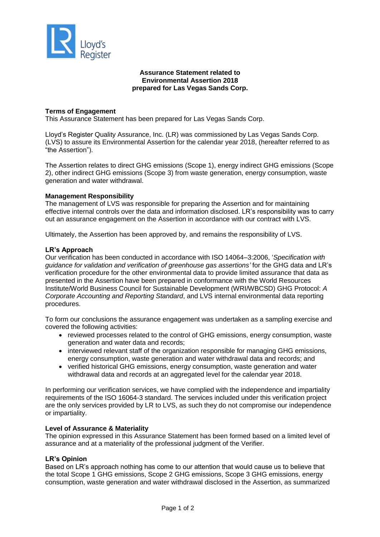

# **Assurance Statement related to Environmental Assertion 2018 prepared for Las Vegas Sands Corp.**

## **Terms of Engagement**

This Assurance Statement has been prepared for Las Vegas Sands Corp.

Lloyd's Register Quality Assurance, Inc. (LR) was commissioned by Las Vegas Sands Corp. (LVS) to assure its Environmental Assertion for the calendar year 2018, (hereafter referred to as "the Assertion").

The Assertion relates to direct GHG emissions (Scope 1), energy indirect GHG emissions (Scope 2), other indirect GHG emissions (Scope 3) from waste generation, energy consumption, waste generation and water withdrawal.

## **Management Responsibility**

The management of LVS was responsible for preparing the Assertion and for maintaining effective internal controls over the data and information disclosed. LR's responsibility was to carry out an assurance engagement on the Assertion in accordance with our contract with LVS.

Ultimately, the Assertion has been approved by, and remains the responsibility of LVS.

## **LR's Approach**

Our verification has been conducted in accordance with ISO 14064–3:2006, '*Specification with guidance for validation and verification of greenhouse gas assertions'* for the GHG data and LR's verification procedure for the other environmental data to provide limited assurance that data as presented in the Assertion have been prepared in conformance with the World Resources Institute/World Business Council for Sustainable Development (WRI/WBCSD) GHG Protocol: *A Corporate Accounting and Reporting Standard*, and LVS internal environmental data reporting procedures.

To form our conclusions the assurance engagement was undertaken as a sampling exercise and covered the following activities:

- reviewed processes related to the control of GHG emissions, energy consumption, waste generation and water data and records;
- interviewed relevant staff of the organization responsible for managing GHG emissions, energy consumption, waste generation and water withdrawal data and records; and
- verified historical GHG emissions, energy consumption, waste generation and water withdrawal data and records at an aggregated level for the calendar year 2018.

In performing our verification services, we have complied with the independence and impartiality requirements of the ISO 16064-3 standard. The services included under this verification project are the only services provided by LR to LVS, as such they do not compromise our independence or impartiality.

## **Level of Assurance & Materiality**

The opinion expressed in this Assurance Statement has been formed based on a limited level of assurance and at a materiality of the professional judgment of the Verifier.

## **LR's Opinion**

Based on LR's approach nothing has come to our attention that would cause us to believe that the total Scope 1 GHG emissions, Scope 2 GHG emissions, Scope 3 GHG emissions, energy consumption, waste generation and water withdrawal disclosed in the Assertion, as summarized